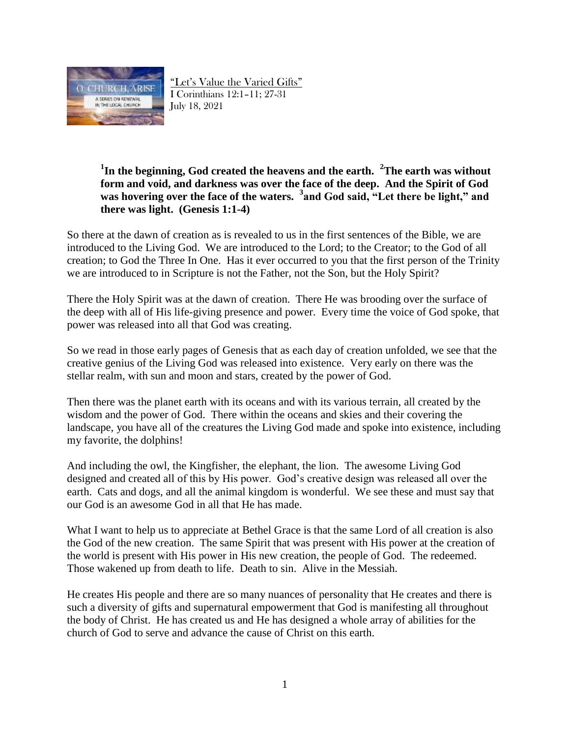

"Let's Value the Varied Gifts" I Corinthians 12:1–11; 27-31 July 18, 2021

### **1 In the beginning, God created the heavens and the earth. <sup>2</sup>The earth was without form and void, and darkness was over the face of the deep. And the Spirit of God was hovering over the face of the waters. <sup>3</sup> and God said, "Let there be light," and there was light. (Genesis 1:1-4)**

So there at the dawn of creation as is revealed to us in the first sentences of the Bible, we are introduced to the Living God. We are introduced to the Lord; to the Creator; to the God of all creation; to God the Three In One. Has it ever occurred to you that the first person of the Trinity we are introduced to in Scripture is not the Father, not the Son, but the Holy Spirit?

There the Holy Spirit was at the dawn of creation. There He was brooding over the surface of the deep with all of His life-giving presence and power. Every time the voice of God spoke, that power was released into all that God was creating.

So we read in those early pages of Genesis that as each day of creation unfolded, we see that the creative genius of the Living God was released into existence. Very early on there was the stellar realm, with sun and moon and stars, created by the power of God.

Then there was the planet earth with its oceans and with its various terrain, all created by the wisdom and the power of God. There within the oceans and skies and their covering the landscape, you have all of the creatures the Living God made and spoke into existence, including my favorite, the dolphins!

And including the owl, the Kingfisher, the elephant, the lion. The awesome Living God designed and created all of this by His power. God's creative design was released all over the earth. Cats and dogs, and all the animal kingdom is wonderful. We see these and must say that our God is an awesome God in all that He has made.

What I want to help us to appreciate at Bethel Grace is that the same Lord of all creation is also the God of the new creation. The same Spirit that was present with His power at the creation of the world is present with His power in His new creation, the people of God. The redeemed. Those wakened up from death to life. Death to sin. Alive in the Messiah.

He creates His people and there are so many nuances of personality that He creates and there is such a diversity of gifts and supernatural empowerment that God is manifesting all throughout the body of Christ. He has created us and He has designed a whole array of abilities for the church of God to serve and advance the cause of Christ on this earth.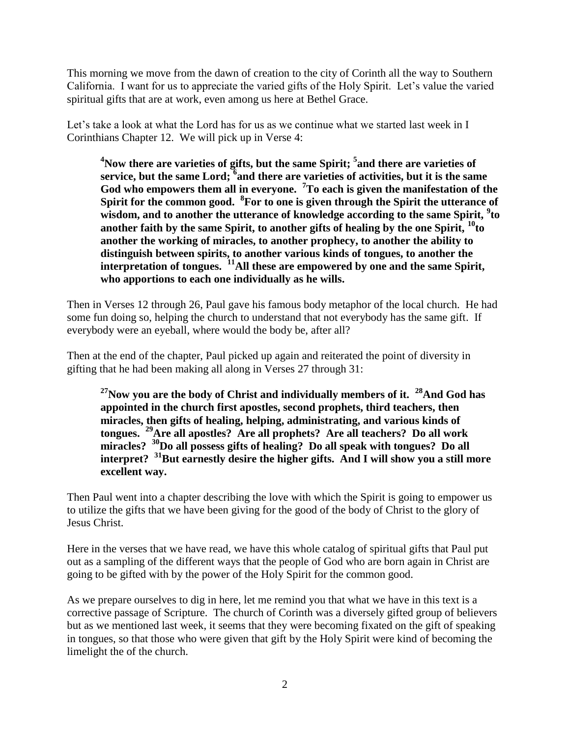This morning we move from the dawn of creation to the city of Corinth all the way to Southern California. I want for us to appreciate the varied gifts of the Holy Spirit. Let's value the varied spiritual gifts that are at work, even among us here at Bethel Grace.

Let's take a look at what the Lord has for us as we continue what we started last week in I Corinthians Chapter 12. We will pick up in Verse 4:

**<sup>4</sup>Now there are varieties of gifts, but the same Spirit; <sup>5</sup> and there are varieties of service, but the same Lord; <sup>6</sup> and there are varieties of activities, but it is the same God who empowers them all in everyone. <sup>7</sup>To each is given the manifestation of the Spirit for the common good. <sup>8</sup> For to one is given through the Spirit the utterance of wisdom, and to another the utterance of knowledge according to the same Spirit, <sup>9</sup> to another faith by the same Spirit, to another gifts of healing by the one Spirit, <sup>10</sup>to another the working of miracles, to another prophecy, to another the ability to distinguish between spirits, to another various kinds of tongues, to another the interpretation of tongues. <sup>11</sup>All these are empowered by one and the same Spirit, who apportions to each one individually as he wills.**

Then in Verses 12 through 26, Paul gave his famous body metaphor of the local church. He had some fun doing so, helping the church to understand that not everybody has the same gift. If everybody were an eyeball, where would the body be, after all?

Then at the end of the chapter, Paul picked up again and reiterated the point of diversity in gifting that he had been making all along in Verses 27 through 31:

**<sup>27</sup>Now you are the body of Christ and individually members of it. <sup>28</sup>And God has appointed in the church first apostles, second prophets, third teachers, then miracles, then gifts of healing, helping, administrating, and various kinds of tongues. <sup>29</sup>Are all apostles? Are all prophets? Are all teachers? Do all work miracles? <sup>30</sup>Do all possess gifts of healing? Do all speak with tongues? Do all interpret? <sup>31</sup>But earnestly desire the higher gifts. And I will show you a still more excellent way.**

Then Paul went into a chapter describing the love with which the Spirit is going to empower us to utilize the gifts that we have been giving for the good of the body of Christ to the glory of Jesus Christ.

Here in the verses that we have read, we have this whole catalog of spiritual gifts that Paul put out as a sampling of the different ways that the people of God who are born again in Christ are going to be gifted with by the power of the Holy Spirit for the common good.

As we prepare ourselves to dig in here, let me remind you that what we have in this text is a corrective passage of Scripture. The church of Corinth was a diversely gifted group of believers but as we mentioned last week, it seems that they were becoming fixated on the gift of speaking in tongues, so that those who were given that gift by the Holy Spirit were kind of becoming the limelight the of the church.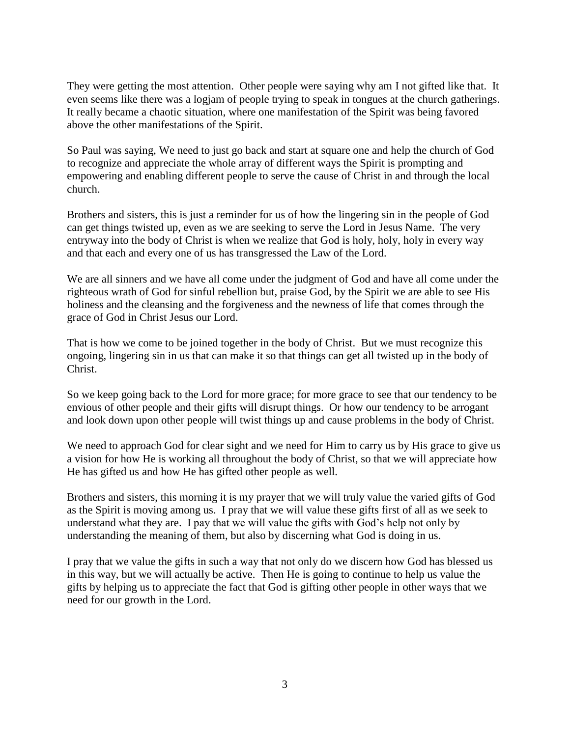They were getting the most attention. Other people were saying why am I not gifted like that. It even seems like there was a logjam of people trying to speak in tongues at the church gatherings. It really became a chaotic situation, where one manifestation of the Spirit was being favored above the other manifestations of the Spirit.

So Paul was saying, We need to just go back and start at square one and help the church of God to recognize and appreciate the whole array of different ways the Spirit is prompting and empowering and enabling different people to serve the cause of Christ in and through the local church.

Brothers and sisters, this is just a reminder for us of how the lingering sin in the people of God can get things twisted up, even as we are seeking to serve the Lord in Jesus Name. The very entryway into the body of Christ is when we realize that God is holy, holy, holy in every way and that each and every one of us has transgressed the Law of the Lord.

We are all sinners and we have all come under the judgment of God and have all come under the righteous wrath of God for sinful rebellion but, praise God, by the Spirit we are able to see His holiness and the cleansing and the forgiveness and the newness of life that comes through the grace of God in Christ Jesus our Lord.

That is how we come to be joined together in the body of Christ. But we must recognize this ongoing, lingering sin in us that can make it so that things can get all twisted up in the body of Christ.

So we keep going back to the Lord for more grace; for more grace to see that our tendency to be envious of other people and their gifts will disrupt things. Or how our tendency to be arrogant and look down upon other people will twist things up and cause problems in the body of Christ.

We need to approach God for clear sight and we need for Him to carry us by His grace to give us a vision for how He is working all throughout the body of Christ, so that we will appreciate how He has gifted us and how He has gifted other people as well.

Brothers and sisters, this morning it is my prayer that we will truly value the varied gifts of God as the Spirit is moving among us. I pray that we will value these gifts first of all as we seek to understand what they are. I pay that we will value the gifts with God's help not only by understanding the meaning of them, but also by discerning what God is doing in us.

I pray that we value the gifts in such a way that not only do we discern how God has blessed us in this way, but we will actually be active. Then He is going to continue to help us value the gifts by helping us to appreciate the fact that God is gifting other people in other ways that we need for our growth in the Lord.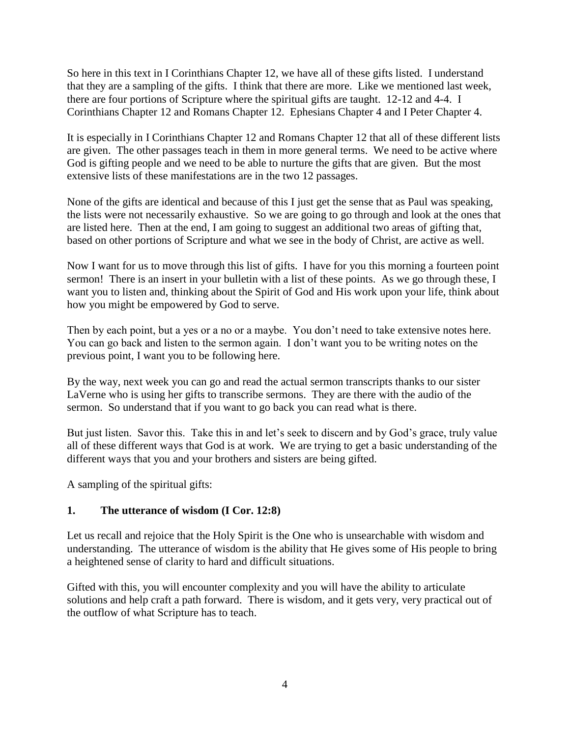So here in this text in I Corinthians Chapter 12, we have all of these gifts listed. I understand that they are a sampling of the gifts. I think that there are more. Like we mentioned last week, there are four portions of Scripture where the spiritual gifts are taught. 12-12 and 4-4. I Corinthians Chapter 12 and Romans Chapter 12. Ephesians Chapter 4 and I Peter Chapter 4.

It is especially in I Corinthians Chapter 12 and Romans Chapter 12 that all of these different lists are given. The other passages teach in them in more general terms. We need to be active where God is gifting people and we need to be able to nurture the gifts that are given. But the most extensive lists of these manifestations are in the two 12 passages.

None of the gifts are identical and because of this I just get the sense that as Paul was speaking, the lists were not necessarily exhaustive. So we are going to go through and look at the ones that are listed here. Then at the end, I am going to suggest an additional two areas of gifting that, based on other portions of Scripture and what we see in the body of Christ, are active as well.

Now I want for us to move through this list of gifts. I have for you this morning a fourteen point sermon! There is an insert in your bulletin with a list of these points. As we go through these, I want you to listen and, thinking about the Spirit of God and His work upon your life, think about how you might be empowered by God to serve.

Then by each point, but a yes or a no or a maybe. You don't need to take extensive notes here. You can go back and listen to the sermon again. I don't want you to be writing notes on the previous point, I want you to be following here.

By the way, next week you can go and read the actual sermon transcripts thanks to our sister LaVerne who is using her gifts to transcribe sermons. They are there with the audio of the sermon. So understand that if you want to go back you can read what is there.

But just listen. Savor this. Take this in and let's seek to discern and by God's grace, truly value all of these different ways that God is at work. We are trying to get a basic understanding of the different ways that you and your brothers and sisters are being gifted.

A sampling of the spiritual gifts:

### **1. The utterance of wisdom (I Cor. 12:8)**

Let us recall and rejoice that the Holy Spirit is the One who is unsearchable with wisdom and understanding. The utterance of wisdom is the ability that He gives some of His people to bring a heightened sense of clarity to hard and difficult situations.

Gifted with this, you will encounter complexity and you will have the ability to articulate solutions and help craft a path forward. There is wisdom, and it gets very, very practical out of the outflow of what Scripture has to teach.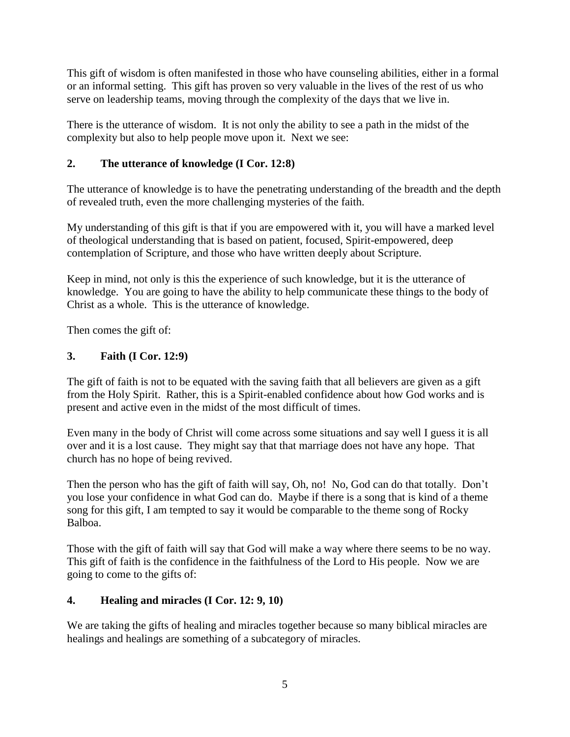This gift of wisdom is often manifested in those who have counseling abilities, either in a formal or an informal setting. This gift has proven so very valuable in the lives of the rest of us who serve on leadership teams, moving through the complexity of the days that we live in.

There is the utterance of wisdom. It is not only the ability to see a path in the midst of the complexity but also to help people move upon it. Next we see:

## **2. The utterance of knowledge (I Cor. 12:8)**

The utterance of knowledge is to have the penetrating understanding of the breadth and the depth of revealed truth, even the more challenging mysteries of the faith.

My understanding of this gift is that if you are empowered with it, you will have a marked level of theological understanding that is based on patient, focused, Spirit-empowered, deep contemplation of Scripture, and those who have written deeply about Scripture.

Keep in mind, not only is this the experience of such knowledge, but it is the utterance of knowledge. You are going to have the ability to help communicate these things to the body of Christ as a whole. This is the utterance of knowledge.

Then comes the gift of:

## **3. Faith (I Cor. 12:9)**

The gift of faith is not to be equated with the saving faith that all believers are given as a gift from the Holy Spirit. Rather, this is a Spirit-enabled confidence about how God works and is present and active even in the midst of the most difficult of times.

Even many in the body of Christ will come across some situations and say well I guess it is all over and it is a lost cause. They might say that that marriage does not have any hope. That church has no hope of being revived.

Then the person who has the gift of faith will say, Oh, no! No, God can do that totally. Don't you lose your confidence in what God can do. Maybe if there is a song that is kind of a theme song for this gift, I am tempted to say it would be comparable to the theme song of Rocky Balboa.

Those with the gift of faith will say that God will make a way where there seems to be no way. This gift of faith is the confidence in the faithfulness of the Lord to His people. Now we are going to come to the gifts of:

### **4. Healing and miracles (I Cor. 12: 9, 10)**

We are taking the gifts of healing and miracles together because so many biblical miracles are healings and healings are something of a subcategory of miracles.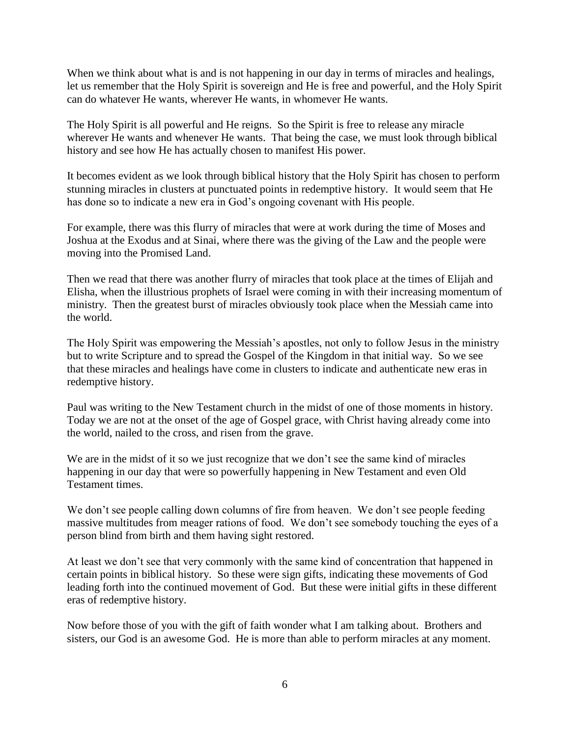When we think about what is and is not happening in our day in terms of miracles and healings, let us remember that the Holy Spirit is sovereign and He is free and powerful, and the Holy Spirit can do whatever He wants, wherever He wants, in whomever He wants.

The Holy Spirit is all powerful and He reigns. So the Spirit is free to release any miracle wherever He wants and whenever He wants. That being the case, we must look through biblical history and see how He has actually chosen to manifest His power.

It becomes evident as we look through biblical history that the Holy Spirit has chosen to perform stunning miracles in clusters at punctuated points in redemptive history. It would seem that He has done so to indicate a new era in God's ongoing covenant with His people.

For example, there was this flurry of miracles that were at work during the time of Moses and Joshua at the Exodus and at Sinai, where there was the giving of the Law and the people were moving into the Promised Land.

Then we read that there was another flurry of miracles that took place at the times of Elijah and Elisha, when the illustrious prophets of Israel were coming in with their increasing momentum of ministry. Then the greatest burst of miracles obviously took place when the Messiah came into the world.

The Holy Spirit was empowering the Messiah's apostles, not only to follow Jesus in the ministry but to write Scripture and to spread the Gospel of the Kingdom in that initial way. So we see that these miracles and healings have come in clusters to indicate and authenticate new eras in redemptive history.

Paul was writing to the New Testament church in the midst of one of those moments in history. Today we are not at the onset of the age of Gospel grace, with Christ having already come into the world, nailed to the cross, and risen from the grave.

We are in the midst of it so we just recognize that we don't see the same kind of miracles happening in our day that were so powerfully happening in New Testament and even Old Testament times.

We don't see people calling down columns of fire from heaven. We don't see people feeding massive multitudes from meager rations of food. We don't see somebody touching the eyes of a person blind from birth and them having sight restored.

At least we don't see that very commonly with the same kind of concentration that happened in certain points in biblical history. So these were sign gifts, indicating these movements of God leading forth into the continued movement of God. But these were initial gifts in these different eras of redemptive history.

Now before those of you with the gift of faith wonder what I am talking about. Brothers and sisters, our God is an awesome God. He is more than able to perform miracles at any moment.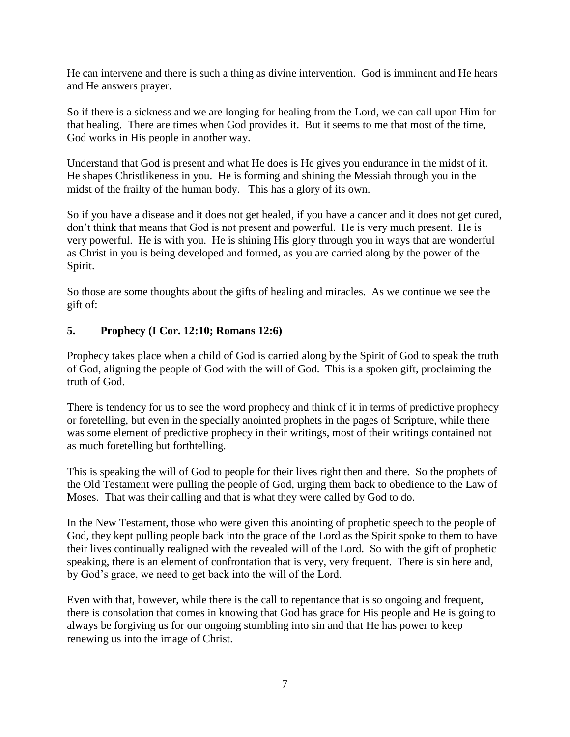He can intervene and there is such a thing as divine intervention. God is imminent and He hears and He answers prayer.

So if there is a sickness and we are longing for healing from the Lord, we can call upon Him for that healing. There are times when God provides it. But it seems to me that most of the time, God works in His people in another way.

Understand that God is present and what He does is He gives you endurance in the midst of it. He shapes Christlikeness in you. He is forming and shining the Messiah through you in the midst of the frailty of the human body. This has a glory of its own.

So if you have a disease and it does not get healed, if you have a cancer and it does not get cured, don't think that means that God is not present and powerful. He is very much present. He is very powerful. He is with you. He is shining His glory through you in ways that are wonderful as Christ in you is being developed and formed, as you are carried along by the power of the Spirit.

So those are some thoughts about the gifts of healing and miracles. As we continue we see the gift of:

### **5. Prophecy (I Cor. 12:10; Romans 12:6)**

Prophecy takes place when a child of God is carried along by the Spirit of God to speak the truth of God, aligning the people of God with the will of God. This is a spoken gift, proclaiming the truth of God.

There is tendency for us to see the word prophecy and think of it in terms of predictive prophecy or foretelling, but even in the specially anointed prophets in the pages of Scripture, while there was some element of predictive prophecy in their writings, most of their writings contained not as much foretelling but forthtelling.

This is speaking the will of God to people for their lives right then and there. So the prophets of the Old Testament were pulling the people of God, urging them back to obedience to the Law of Moses. That was their calling and that is what they were called by God to do.

In the New Testament, those who were given this anointing of prophetic speech to the people of God, they kept pulling people back into the grace of the Lord as the Spirit spoke to them to have their lives continually realigned with the revealed will of the Lord. So with the gift of prophetic speaking, there is an element of confrontation that is very, very frequent. There is sin here and, by God's grace, we need to get back into the will of the Lord.

Even with that, however, while there is the call to repentance that is so ongoing and frequent, there is consolation that comes in knowing that God has grace for His people and He is going to always be forgiving us for our ongoing stumbling into sin and that He has power to keep renewing us into the image of Christ.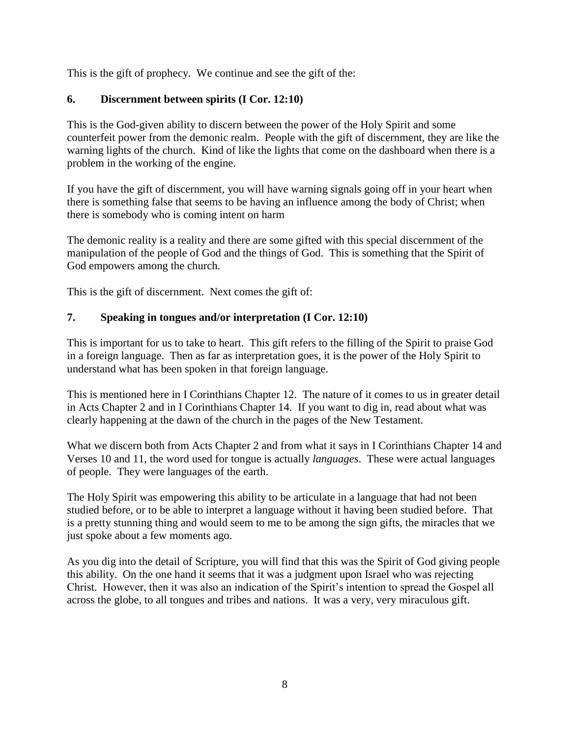This is the gift of prophecy. We continue and see the gift of the:

## **6. Discernment between spirits (I Cor. 12:10)**

This is the God-given ability to discern between the power of the Holy Spirit and some counterfeit power from the demonic realm. People with the gift of discernment, they are like the warning lights of the church. Kind of like the lights that come on the dashboard when there is a problem in the working of the engine.

If you have the gift of discernment, you will have warning signals going off in your heart when there is something false that seems to be having an influence among the body of Christ; when there is somebody who is coming intent on harm

The demonic reality is a reality and there are some gifted with this special discernment of the manipulation of the people of God and the things of God. This is something that the Spirit of God empowers among the church.

This is the gift of discernment. Next comes the gift of:

### **7. Speaking in tongues and/or interpretation (I Cor. 12:10)**

This is important for us to take to heart. This gift refers to the filling of the Spirit to praise God in a foreign language. Then as far as interpretation goes, it is the power of the Holy Spirit to understand what has been spoken in that foreign language.

This is mentioned here in I Corinthians Chapter 12. The nature of it comes to us in greater detail in Acts Chapter 2 and in I Corinthians Chapter 14. If you want to dig in, read about what was clearly happening at the dawn of the church in the pages of the New Testament.

What we discern both from Acts Chapter 2 and from what it says in I Corinthians Chapter 14 and Verses 10 and 11, the word used for tongue is actually *languages*. These were actual languages of people. They were languages of the earth.

The Holy Spirit was empowering this ability to be articulate in a language that had not been studied before, or to be able to interpret a language without it having been studied before. That is a pretty stunning thing and would seem to me to be among the sign gifts, the miracles that we just spoke about a few moments ago.

As you dig into the detail of Scripture, you will find that this was the Spirit of God giving people this ability. On the one hand it seems that it was a judgment upon Israel who was rejecting Christ. However, then it was also an indication of the Spirit's intention to spread the Gospel all across the globe, to all tongues and tribes and nations. It was a very, very miraculous gift.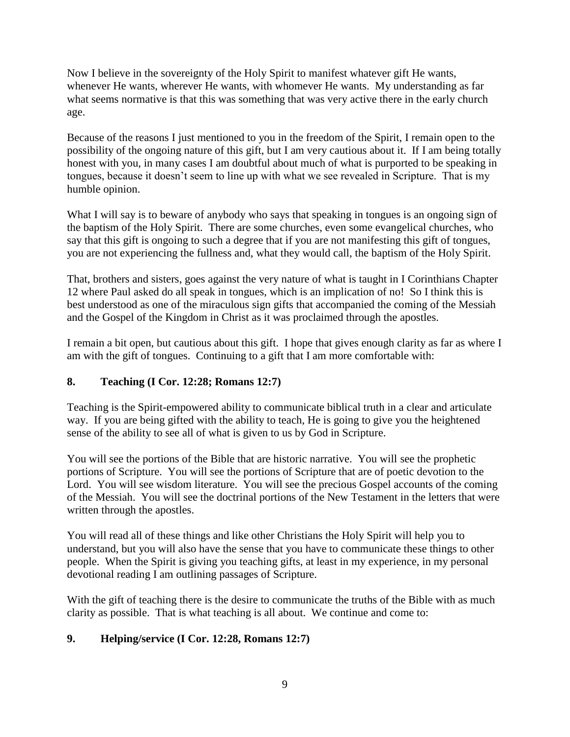Now I believe in the sovereignty of the Holy Spirit to manifest whatever gift He wants, whenever He wants, wherever He wants, with whomever He wants. My understanding as far what seems normative is that this was something that was very active there in the early church age.

Because of the reasons I just mentioned to you in the freedom of the Spirit, I remain open to the possibility of the ongoing nature of this gift, but I am very cautious about it. If I am being totally honest with you, in many cases I am doubtful about much of what is purported to be speaking in tongues, because it doesn't seem to line up with what we see revealed in Scripture. That is my humble opinion.

What I will say is to beware of anybody who says that speaking in tongues is an ongoing sign of the baptism of the Holy Spirit. There are some churches, even some evangelical churches, who say that this gift is ongoing to such a degree that if you are not manifesting this gift of tongues, you are not experiencing the fullness and, what they would call, the baptism of the Holy Spirit.

That, brothers and sisters, goes against the very nature of what is taught in I Corinthians Chapter 12 where Paul asked do all speak in tongues, which is an implication of no! So I think this is best understood as one of the miraculous sign gifts that accompanied the coming of the Messiah and the Gospel of the Kingdom in Christ as it was proclaimed through the apostles.

I remain a bit open, but cautious about this gift. I hope that gives enough clarity as far as where I am with the gift of tongues. Continuing to a gift that I am more comfortable with:

## **8. Teaching (I Cor. 12:28; Romans 12:7)**

Teaching is the Spirit-empowered ability to communicate biblical truth in a clear and articulate way. If you are being gifted with the ability to teach, He is going to give you the heightened sense of the ability to see all of what is given to us by God in Scripture.

You will see the portions of the Bible that are historic narrative. You will see the prophetic portions of Scripture. You will see the portions of Scripture that are of poetic devotion to the Lord. You will see wisdom literature. You will see the precious Gospel accounts of the coming of the Messiah. You will see the doctrinal portions of the New Testament in the letters that were written through the apostles.

You will read all of these things and like other Christians the Holy Spirit will help you to understand, but you will also have the sense that you have to communicate these things to other people. When the Spirit is giving you teaching gifts, at least in my experience, in my personal devotional reading I am outlining passages of Scripture.

With the gift of teaching there is the desire to communicate the truths of the Bible with as much clarity as possible. That is what teaching is all about. We continue and come to:

### **9. Helping/service (I Cor. 12:28, Romans 12:7)**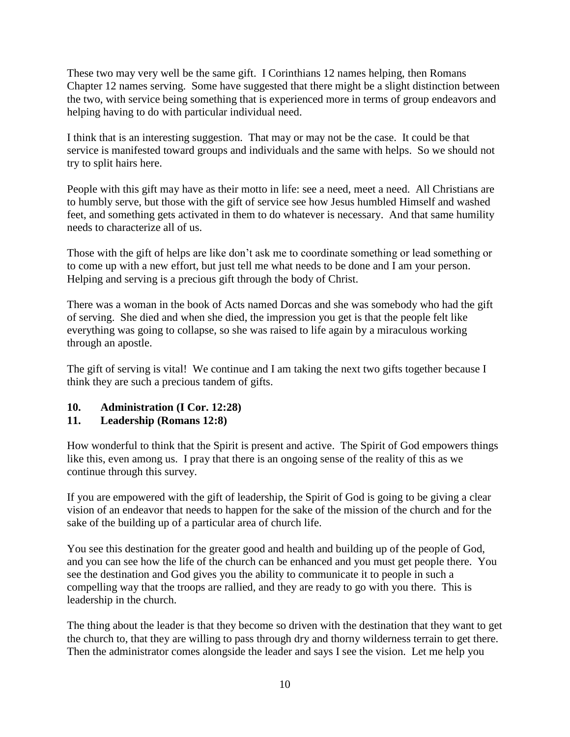These two may very well be the same gift. I Corinthians 12 names helping, then Romans Chapter 12 names serving. Some have suggested that there might be a slight distinction between the two, with service being something that is experienced more in terms of group endeavors and helping having to do with particular individual need.

I think that is an interesting suggestion. That may or may not be the case. It could be that service is manifested toward groups and individuals and the same with helps. So we should not try to split hairs here.

People with this gift may have as their motto in life: see a need, meet a need. All Christians are to humbly serve, but those with the gift of service see how Jesus humbled Himself and washed feet, and something gets activated in them to do whatever is necessary. And that same humility needs to characterize all of us.

Those with the gift of helps are like don't ask me to coordinate something or lead something or to come up with a new effort, but just tell me what needs to be done and I am your person. Helping and serving is a precious gift through the body of Christ.

There was a woman in the book of Acts named Dorcas and she was somebody who had the gift of serving. She died and when she died, the impression you get is that the people felt like everything was going to collapse, so she was raised to life again by a miraculous working through an apostle.

The gift of serving is vital! We continue and I am taking the next two gifts together because I think they are such a precious tandem of gifts.

### **10. Administration (I Cor. 12:28)**

### **11. Leadership (Romans 12:8)**

How wonderful to think that the Spirit is present and active. The Spirit of God empowers things like this, even among us. I pray that there is an ongoing sense of the reality of this as we continue through this survey.

If you are empowered with the gift of leadership, the Spirit of God is going to be giving a clear vision of an endeavor that needs to happen for the sake of the mission of the church and for the sake of the building up of a particular area of church life.

You see this destination for the greater good and health and building up of the people of God, and you can see how the life of the church can be enhanced and you must get people there. You see the destination and God gives you the ability to communicate it to people in such a compelling way that the troops are rallied, and they are ready to go with you there. This is leadership in the church.

The thing about the leader is that they become so driven with the destination that they want to get the church to, that they are willing to pass through dry and thorny wilderness terrain to get there. Then the administrator comes alongside the leader and says I see the vision. Let me help you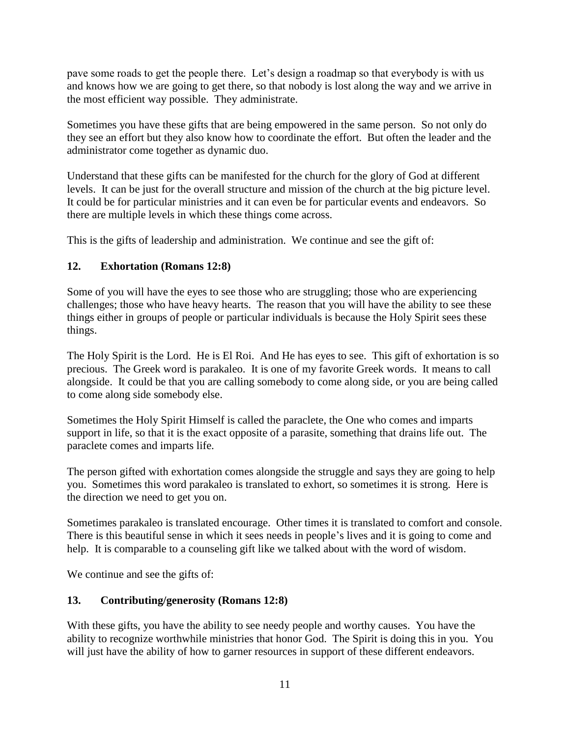pave some roads to get the people there. Let's design a roadmap so that everybody is with us and knows how we are going to get there, so that nobody is lost along the way and we arrive in the most efficient way possible. They administrate.

Sometimes you have these gifts that are being empowered in the same person. So not only do they see an effort but they also know how to coordinate the effort. But often the leader and the administrator come together as dynamic duo.

Understand that these gifts can be manifested for the church for the glory of God at different levels. It can be just for the overall structure and mission of the church at the big picture level. It could be for particular ministries and it can even be for particular events and endeavors. So there are multiple levels in which these things come across.

This is the gifts of leadership and administration. We continue and see the gift of:

## **12. Exhortation (Romans 12:8)**

Some of you will have the eyes to see those who are struggling; those who are experiencing challenges; those who have heavy hearts. The reason that you will have the ability to see these things either in groups of people or particular individuals is because the Holy Spirit sees these things.

The Holy Spirit is the Lord. He is El Roi. And He has eyes to see. This gift of exhortation is so precious. The Greek word is parakaleo. It is one of my favorite Greek words. It means to call alongside. It could be that you are calling somebody to come along side, or you are being called to come along side somebody else.

Sometimes the Holy Spirit Himself is called the paraclete, the One who comes and imparts support in life, so that it is the exact opposite of a parasite, something that drains life out. The paraclete comes and imparts life.

The person gifted with exhortation comes alongside the struggle and says they are going to help you. Sometimes this word parakaleo is translated to exhort, so sometimes it is strong. Here is the direction we need to get you on.

Sometimes parakaleo is translated encourage. Other times it is translated to comfort and console. There is this beautiful sense in which it sees needs in people's lives and it is going to come and help. It is comparable to a counseling gift like we talked about with the word of wisdom.

We continue and see the gifts of:

## **13. Contributing/generosity (Romans 12:8)**

With these gifts, you have the ability to see needy people and worthy causes. You have the ability to recognize worthwhile ministries that honor God. The Spirit is doing this in you. You will just have the ability of how to garner resources in support of these different endeavors.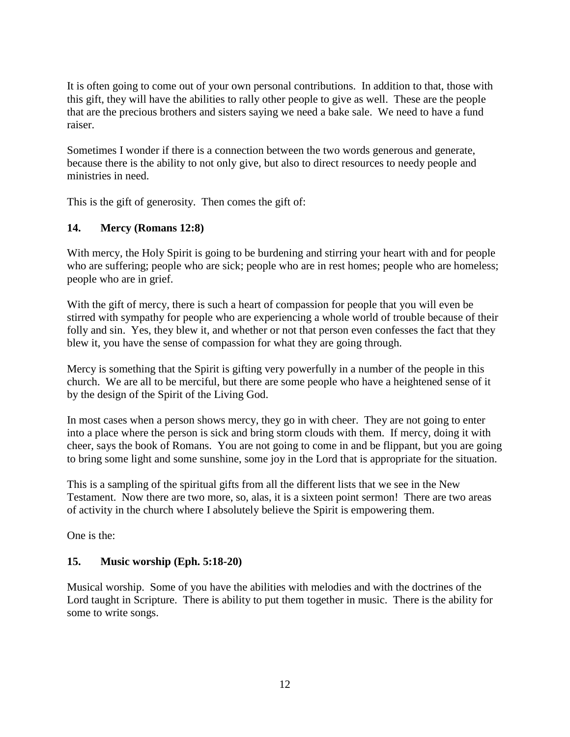It is often going to come out of your own personal contributions. In addition to that, those with this gift, they will have the abilities to rally other people to give as well. These are the people that are the precious brothers and sisters saying we need a bake sale. We need to have a fund raiser.

Sometimes I wonder if there is a connection between the two words generous and generate, because there is the ability to not only give, but also to direct resources to needy people and ministries in need.

This is the gift of generosity. Then comes the gift of:

### **14. Mercy (Romans 12:8)**

With mercy, the Holy Spirit is going to be burdening and stirring your heart with and for people who are suffering; people who are sick; people who are in rest homes; people who are homeless; people who are in grief.

With the gift of mercy, there is such a heart of compassion for people that you will even be stirred with sympathy for people who are experiencing a whole world of trouble because of their folly and sin. Yes, they blew it, and whether or not that person even confesses the fact that they blew it, you have the sense of compassion for what they are going through.

Mercy is something that the Spirit is gifting very powerfully in a number of the people in this church. We are all to be merciful, but there are some people who have a heightened sense of it by the design of the Spirit of the Living God.

In most cases when a person shows mercy, they go in with cheer. They are not going to enter into a place where the person is sick and bring storm clouds with them. If mercy, doing it with cheer, says the book of Romans. You are not going to come in and be flippant, but you are going to bring some light and some sunshine, some joy in the Lord that is appropriate for the situation.

This is a sampling of the spiritual gifts from all the different lists that we see in the New Testament. Now there are two more, so, alas, it is a sixteen point sermon! There are two areas of activity in the church where I absolutely believe the Spirit is empowering them.

One is the:

### **15. Music worship (Eph. 5:18-20)**

Musical worship. Some of you have the abilities with melodies and with the doctrines of the Lord taught in Scripture. There is ability to put them together in music. There is the ability for some to write songs.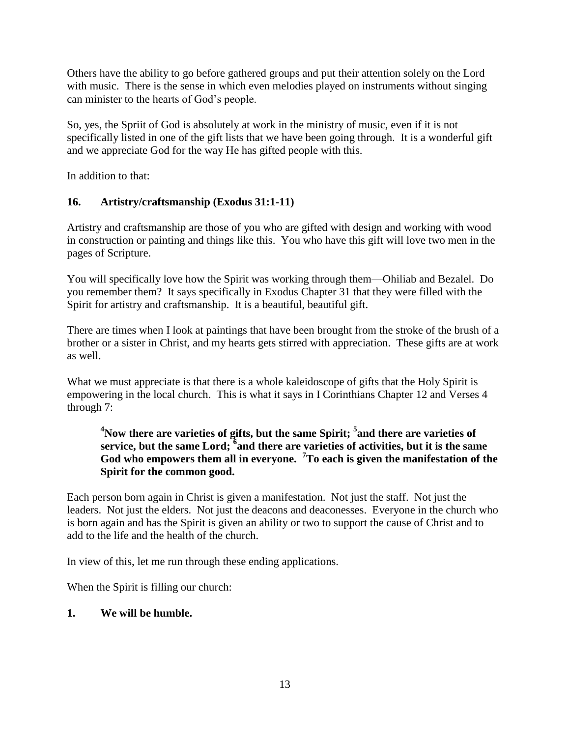Others have the ability to go before gathered groups and put their attention solely on the Lord with music. There is the sense in which even melodies played on instruments without singing can minister to the hearts of God's people.

So, yes, the Spriit of God is absolutely at work in the ministry of music, even if it is not specifically listed in one of the gift lists that we have been going through. It is a wonderful gift and we appreciate God for the way He has gifted people with this.

In addition to that:

## **16. Artistry/craftsmanship (Exodus 31:1-11)**

Artistry and craftsmanship are those of you who are gifted with design and working with wood in construction or painting and things like this. You who have this gift will love two men in the pages of Scripture.

You will specifically love how the Spirit was working through them—Ohiliab and Bezalel. Do you remember them? It says specifically in Exodus Chapter 31 that they were filled with the Spirit for artistry and craftsmanship. It is a beautiful, beautiful gift.

There are times when I look at paintings that have been brought from the stroke of the brush of a brother or a sister in Christ, and my hearts gets stirred with appreciation. These gifts are at work as well.

What we must appreciate is that there is a whole kaleidoscope of gifts that the Holy Spirit is empowering in the local church. This is what it says in I Corinthians Chapter 12 and Verses 4 through 7:

**<sup>4</sup>Now there are varieties of gifts, but the same Spirit; <sup>5</sup> and there are varieties of service, but the same Lord; <sup>6</sup> and there are varieties of activities, but it is the same God who empowers them all in everyone. <sup>7</sup>To each is given the manifestation of the Spirit for the common good.**

Each person born again in Christ is given a manifestation. Not just the staff. Not just the leaders. Not just the elders. Not just the deacons and deaconesses. Everyone in the church who is born again and has the Spirit is given an ability or two to support the cause of Christ and to add to the life and the health of the church.

In view of this, let me run through these ending applications.

When the Spirit is filling our church:

## **1. We will be humble.**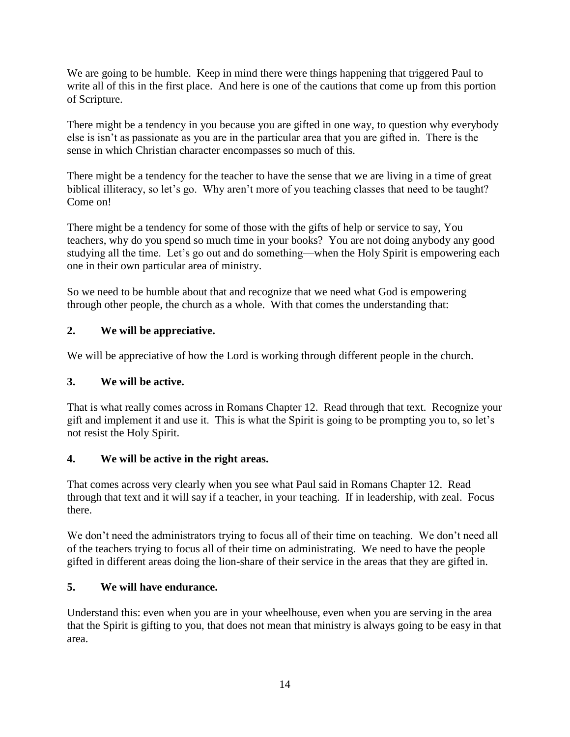We are going to be humble. Keep in mind there were things happening that triggered Paul to write all of this in the first place. And here is one of the cautions that come up from this portion of Scripture.

There might be a tendency in you because you are gifted in one way, to question why everybody else is isn't as passionate as you are in the particular area that you are gifted in. There is the sense in which Christian character encompasses so much of this.

There might be a tendency for the teacher to have the sense that we are living in a time of great biblical illiteracy, so let's go. Why aren't more of you teaching classes that need to be taught? Come on!

There might be a tendency for some of those with the gifts of help or service to say, You teachers, why do you spend so much time in your books? You are not doing anybody any good studying all the time. Let's go out and do something—when the Holy Spirit is empowering each one in their own particular area of ministry.

So we need to be humble about that and recognize that we need what God is empowering through other people, the church as a whole. With that comes the understanding that:

# **2. We will be appreciative.**

We will be appreciative of how the Lord is working through different people in the church.

## **3. We will be active.**

That is what really comes across in Romans Chapter 12. Read through that text. Recognize your gift and implement it and use it. This is what the Spirit is going to be prompting you to, so let's not resist the Holy Spirit.

## **4. We will be active in the right areas.**

That comes across very clearly when you see what Paul said in Romans Chapter 12. Read through that text and it will say if a teacher, in your teaching. If in leadership, with zeal. Focus there.

We don't need the administrators trying to focus all of their time on teaching. We don't need all of the teachers trying to focus all of their time on administrating. We need to have the people gifted in different areas doing the lion-share of their service in the areas that they are gifted in.

## **5. We will have endurance.**

Understand this: even when you are in your wheelhouse, even when you are serving in the area that the Spirit is gifting to you, that does not mean that ministry is always going to be easy in that area.